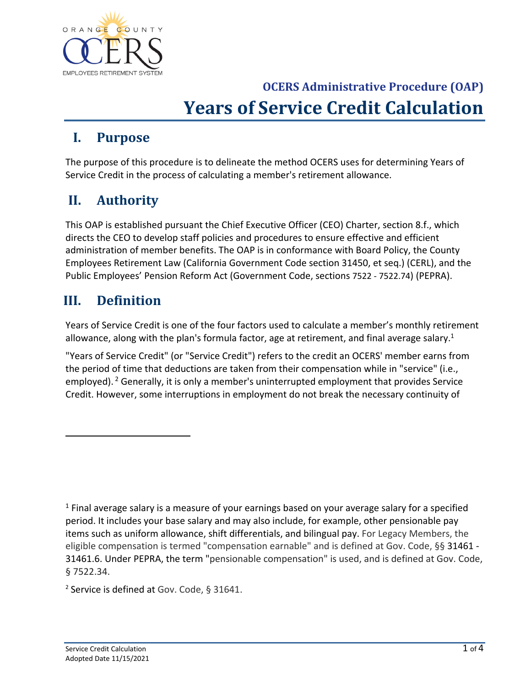

#### **I. Purpose**

The purpose of this procedure is to delineate the method OCERS uses for determining Years of Service Credit in the process of calculating a member's retirement allowance.

#### **II. Authority**

This OAP is established pursuant the Chief Executive Officer (CEO) Charter, section 8.f., which directs the CEO to develop staff policies and procedures to ensure effective and efficient administration of member benefits. The OAP is in conformance with Board Policy, the County Employees Retirement Law (California Government Code section 31450, et seq.) (CERL), and the Public Employees' Pension Reform Act (Government Code, sections 7522 ‐ 7522.74) (PEPRA).

#### **III. Definition**

Years of Service Credit is one of the four factors used to calculate a member's monthly retirement allowance, along with the plan's formula factor, age at retirement, and final average salary.<sup>1</sup>

"Years of Service Credit" (or "Service Credit") refers to the credit an OCERS' member earns from the period of time that deductions are taken from their compensation while in "service" (i.e., employed).  $2$  Generally, it is only a member's uninterrupted employment that provides Service Credit. However, some interruptions in employment do not break the necessary continuity of

<sup>1</sup> Final average salary is a measure of your earnings based on your average salary for a specified period. It includes your base salary and may also include, for example, other pensionable pay items such as uniform allowance, shift differentials, and bilingual pay. For Legacy Members, the eligible compensation is termed "compensation earnable" and is defined at Gov. Code, §§ 31461 ‐ 31461.6. Under PEPRA, the term "pensionable compensation" is used, and is defined at Gov. Code, § 7522.34.

<sup>&</sup>lt;sup>2</sup> Service is defined at Gov. Code, § 31641.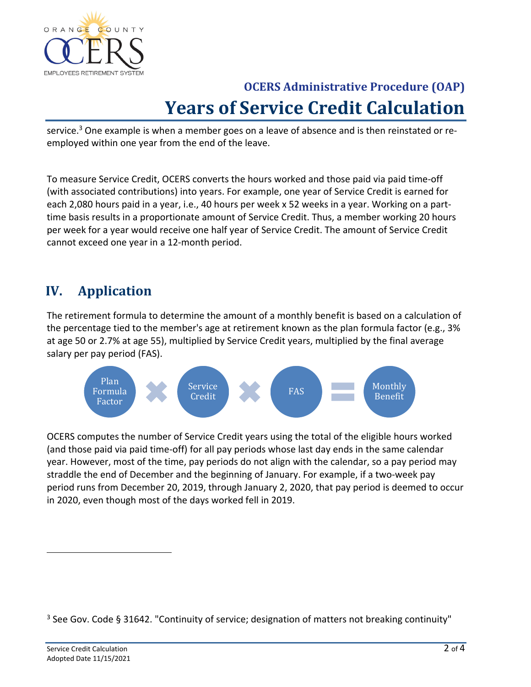

service.<sup>3</sup> One example is when a member goes on a leave of absence and is then reinstated or reemployed within one year from the end of the leave.

To measure Service Credit, OCERS converts the hours worked and those paid via paid time‐off (with associated contributions) into years. For example, one year of Service Credit is earned for each 2,080 hours paid in a year, i.e., 40 hours per week x 52 weeks in a year. Working on a part‐ time basis results in a proportionate amount of Service Credit. Thus, a member working 20 hours per week for a year would receive one half year of Service Credit. The amount of Service Credit cannot exceed one year in a 12‐month period.

### **IV. Application**

The retirement formula to determine the amount of a monthly benefit is based on a calculation of the percentage tied to the member's age at retirement known as the plan formula factor (e.g., 3% at age 50 or 2.7% at age 55), multiplied by Service Credit years, multiplied by the final average salary per pay period (FAS).



OCERS computes the number of Service Credit years using the total of the eligible hours worked (and those paid via paid time‐off) for all pay periods whose last day ends in the same calendar year. However, most of the time, pay periods do not align with the calendar, so a pay period may straddle the end of December and the beginning of January. For example, if a two-week pay period runs from December 20, 2019, through January 2, 2020, that pay period is deemed to occur in 2020, even though most of the days worked fell in 2019.

<sup>3</sup> See Gov. Code § 31642. "Continuity of service; designation of matters not breaking continuity"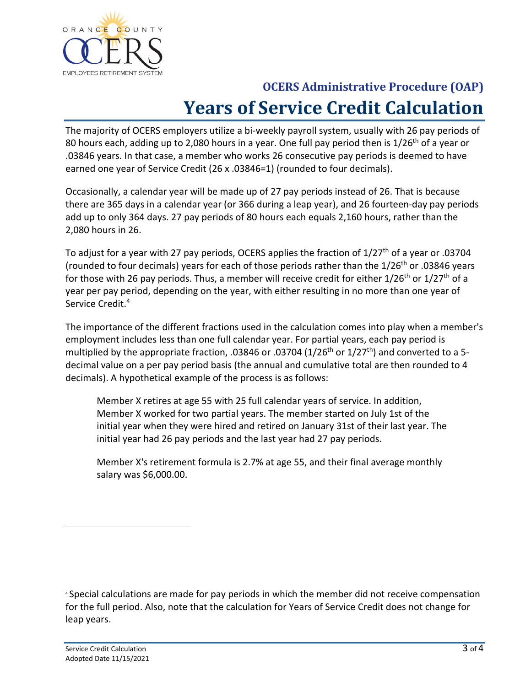

The majority of OCERS employers utilize a bi-weekly payroll system, usually with 26 pay periods of 80 hours each, adding up to 2,080 hours in a year. One full pay period then is 1/26<sup>th</sup> of a year or .03846 years. In that case, a member who works 26 consecutive pay periods is deemed to have earned one year of Service Credit (26 x .03846=1) (rounded to four decimals).

Occasionally, a calendar year will be made up of 27 pay periods instead of 26. That is because there are 365 days in a calendar year (or 366 during a leap year), and 26 fourteen‐day pay periods add up to only 364 days. 27 pay periods of 80 hours each equals 2,160 hours, rather than the 2,080 hours in 26.

To adjust for a year with 27 pay periods, OCERS applies the fraction of 1/27<sup>th</sup> of a year or .03704 (rounded to four decimals) years for each of those periods rather than the  $1/26<sup>th</sup>$  or .03846 years for those with 26 pay periods. Thus, a member will receive credit for either  $1/26^{th}$  or  $1/27^{th}$  of a year per pay period, depending on the year, with either resulting in no more than one year of Service Credit.<sup>4</sup>

The importance of the different fractions used in the calculation comes into play when a member's employment includes less than one full calendar year. For partial years, each pay period is multiplied by the appropriate fraction, .03846 or .03704 (1/26<sup>th</sup> or 1/27<sup>th</sup>) and converted to a 5decimal value on a per pay period basis (the annual and cumulative total are then rounded to 4 decimals). A hypothetical example of the process is as follows:

Member X retires at age 55 with 25 full calendar years of service. In addition, Member X worked for two partial years. The member started on July 1st of the initial year when they were hired and retired on January 31st of their last year. The initial year had 26 pay periods and the last year had 27 pay periods.

Member X's retirement formula is 2.7% at age 55, and their final average monthly salary was \$6,000.00.

<sup>4</sup> Special calculations are made for pay periods in which the member did not receive compensation for the full period. Also, note that the calculation for Years of Service Credit does not change for leap years.